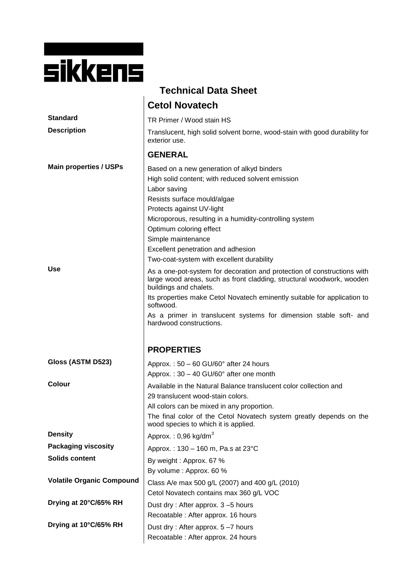| sikkens |  |  |  |
|---------|--|--|--|
|         |  |  |  |

| <b>Technical Data Sheet</b>                 |                                                                                                                                                                                                                                                                                                                                                                                                                                                                                                                                                                                                                                                                                                                                                   |  |  |  |
|---------------------------------------------|---------------------------------------------------------------------------------------------------------------------------------------------------------------------------------------------------------------------------------------------------------------------------------------------------------------------------------------------------------------------------------------------------------------------------------------------------------------------------------------------------------------------------------------------------------------------------------------------------------------------------------------------------------------------------------------------------------------------------------------------------|--|--|--|
|                                             | <b>Cetol Novatech</b>                                                                                                                                                                                                                                                                                                                                                                                                                                                                                                                                                                                                                                                                                                                             |  |  |  |
| <b>Standard</b>                             | TR Primer / Wood stain HS                                                                                                                                                                                                                                                                                                                                                                                                                                                                                                                                                                                                                                                                                                                         |  |  |  |
| <b>Description</b>                          | Translucent, high solid solvent borne, wood-stain with good durability for<br>exterior use.                                                                                                                                                                                                                                                                                                                                                                                                                                                                                                                                                                                                                                                       |  |  |  |
|                                             | <b>GENERAL</b>                                                                                                                                                                                                                                                                                                                                                                                                                                                                                                                                                                                                                                                                                                                                    |  |  |  |
| <b>Main properties / USPs</b><br><b>Use</b> | Based on a new generation of alkyd binders<br>High solid content; with reduced solvent emission<br>Labor saving<br>Resists surface mould/algae<br>Protects against UV-light<br>Microporous, resulting in a humidity-controlling system<br>Optimum coloring effect<br>Simple maintenance<br>Excellent penetration and adhesion<br>Two-coat-system with excellent durability<br>As a one-pot-system for decoration and protection of constructions with<br>large wood areas, such as front cladding, structural woodwork, wooden<br>buildings and chalets.<br>Its properties make Cetol Novatech eminently suitable for application to<br>softwood.<br>As a primer in translucent systems for dimension stable soft- and<br>hardwood constructions. |  |  |  |
|                                             | <b>PROPERTIES</b>                                                                                                                                                                                                                                                                                                                                                                                                                                                                                                                                                                                                                                                                                                                                 |  |  |  |
| Gloss (ASTM D523)                           | Approx.: $50 - 60$ GU/60 $^{\circ}$ after 24 hours                                                                                                                                                                                                                                                                                                                                                                                                                                                                                                                                                                                                                                                                                                |  |  |  |
|                                             | Approx.: 30 - 40 GU/60° after one month                                                                                                                                                                                                                                                                                                                                                                                                                                                                                                                                                                                                                                                                                                           |  |  |  |
| Colour                                      | Available in the Natural Balance translucent color collection and<br>29 translucent wood-stain colors.<br>All colors can be mixed in any proportion.<br>The final color of the Cetol Novatech system greatly depends on the<br>wood species to which it is applied.                                                                                                                                                                                                                                                                                                                                                                                                                                                                               |  |  |  |
| <b>Density</b>                              | Approx.: $0,96$ kg/dm <sup>3</sup>                                                                                                                                                                                                                                                                                                                                                                                                                                                                                                                                                                                                                                                                                                                |  |  |  |
| <b>Packaging viscosity</b>                  | Approx.: 130 - 160 m, Pa.s at 23°C                                                                                                                                                                                                                                                                                                                                                                                                                                                                                                                                                                                                                                                                                                                |  |  |  |
| <b>Solids content</b>                       | By weight: Approx. 67 %<br>By volume: Approx. 60 %                                                                                                                                                                                                                                                                                                                                                                                                                                                                                                                                                                                                                                                                                                |  |  |  |
| <b>Volatile Organic Compound</b>            | Class A/e max 500 g/L (2007) and 400 g/L (2010)<br>Cetol Novatech contains max 360 g/L VOC                                                                                                                                                                                                                                                                                                                                                                                                                                                                                                                                                                                                                                                        |  |  |  |
| Drying at 20°C/65% RH                       | Dust dry: After approx. 3-5 hours<br>Recoatable: After approx. 16 hours                                                                                                                                                                                                                                                                                                                                                                                                                                                                                                                                                                                                                                                                           |  |  |  |
| Drying at 10°C/65% RH                       | Dust dry: After approx. 5-7 hours<br>Recoatable: After approx. 24 hours                                                                                                                                                                                                                                                                                                                                                                                                                                                                                                                                                                                                                                                                           |  |  |  |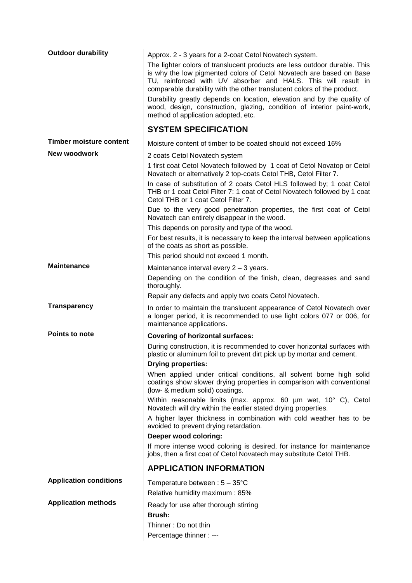| <b>Timber moisture content</b><br>Moisture content of timber to be coated should not exceed 16%<br><b>New woodwork</b><br>2 coats Cetol Novatech system<br>1 first coat Cetol Novatech followed by 1 coat of Cetol Novatop or Cetol<br>Novatech or alternatively 2 top-coats Cetol THB, Cetol Filter 7.<br>In case of substitution of 2 coats Cetol HLS followed by; 1 coat Cetol<br>THB or 1 coat Cetol Filter 7: 1 coat of Cetol Novatech followed by 1 coat<br>Cetol THB or 1 coat Cetol Filter 7.<br>Due to the very good penetration properties, the first coat of Cetol<br>Novatech can entirely disappear in the wood.<br>This depends on porosity and type of the wood.<br>For best results, it is necessary to keep the interval between applications<br>of the coats as short as possible.<br>This period should not exceed 1 month.<br><b>Maintenance</b><br>Maintenance interval every 2 - 3 years.<br>Depending on the condition of the finish, clean, degreases and sand<br>thoroughly.<br>Repair any defects and apply two coats Cetol Novatech.<br><b>Transparency</b><br>In order to maintain the translucent appearance of Cetol Novatech over<br>a longer period, it is recommended to use light colors 077 or 006, for<br>maintenance applications.<br><b>Points to note</b><br><b>Covering of horizontal surfaces:</b><br>During construction, it is recommended to cover horizontal surfaces with<br>plastic or aluminum foil to prevent dirt pick up by mortar and cement.<br><b>Drying properties:</b><br>When applied under critical conditions, all solvent borne high solid<br>coatings show slower drying properties in comparison with conventional<br>(low- & medium solid) coatings.<br>Within reasonable limits (max. approx. 60 um wet, 10° C), Cetol<br>Novatech will dry within the earlier stated drying properties.<br>A higher layer thickness in combination with cold weather has to be<br>avoided to prevent drying retardation.<br>Deeper wood coloring:<br>If more intense wood coloring is desired, for instance for maintenance<br>jobs, then a first coat of Cetol Novatech may substitute Cetol THB.<br><b>APPLICATION INFORMATION</b> | <b>Outdoor durability</b>     | Approx. 2 - 3 years for a 2-coat Cetol Novatech system.<br>The lighter colors of translucent products are less outdoor durable. This<br>is why the low pigmented colors of Cetol Novatech are based on Base<br>TU, reinforced with UV absorber and HALS. This will result in<br>comparable durability with the other translucent colors of the product.<br>Durability greatly depends on location, elevation and by the quality of<br>wood, design, construction, glazing, condition of interior paint-work,<br>method of application adopted, etc.<br><b>SYSTEM SPECIFICATION</b> |
|---------------------------------------------------------------------------------------------------------------------------------------------------------------------------------------------------------------------------------------------------------------------------------------------------------------------------------------------------------------------------------------------------------------------------------------------------------------------------------------------------------------------------------------------------------------------------------------------------------------------------------------------------------------------------------------------------------------------------------------------------------------------------------------------------------------------------------------------------------------------------------------------------------------------------------------------------------------------------------------------------------------------------------------------------------------------------------------------------------------------------------------------------------------------------------------------------------------------------------------------------------------------------------------------------------------------------------------------------------------------------------------------------------------------------------------------------------------------------------------------------------------------------------------------------------------------------------------------------------------------------------------------------------------------------------------------------------------------------------------------------------------------------------------------------------------------------------------------------------------------------------------------------------------------------------------------------------------------------------------------------------------------------------------------------------------------------------------------------------------------------------------------------------------------------------------|-------------------------------|------------------------------------------------------------------------------------------------------------------------------------------------------------------------------------------------------------------------------------------------------------------------------------------------------------------------------------------------------------------------------------------------------------------------------------------------------------------------------------------------------------------------------------------------------------------------------------|
|                                                                                                                                                                                                                                                                                                                                                                                                                                                                                                                                                                                                                                                                                                                                                                                                                                                                                                                                                                                                                                                                                                                                                                                                                                                                                                                                                                                                                                                                                                                                                                                                                                                                                                                                                                                                                                                                                                                                                                                                                                                                                                                                                                                       |                               |                                                                                                                                                                                                                                                                                                                                                                                                                                                                                                                                                                                    |
|                                                                                                                                                                                                                                                                                                                                                                                                                                                                                                                                                                                                                                                                                                                                                                                                                                                                                                                                                                                                                                                                                                                                                                                                                                                                                                                                                                                                                                                                                                                                                                                                                                                                                                                                                                                                                                                                                                                                                                                                                                                                                                                                                                                       |                               |                                                                                                                                                                                                                                                                                                                                                                                                                                                                                                                                                                                    |
|                                                                                                                                                                                                                                                                                                                                                                                                                                                                                                                                                                                                                                                                                                                                                                                                                                                                                                                                                                                                                                                                                                                                                                                                                                                                                                                                                                                                                                                                                                                                                                                                                                                                                                                                                                                                                                                                                                                                                                                                                                                                                                                                                                                       |                               |                                                                                                                                                                                                                                                                                                                                                                                                                                                                                                                                                                                    |
|                                                                                                                                                                                                                                                                                                                                                                                                                                                                                                                                                                                                                                                                                                                                                                                                                                                                                                                                                                                                                                                                                                                                                                                                                                                                                                                                                                                                                                                                                                                                                                                                                                                                                                                                                                                                                                                                                                                                                                                                                                                                                                                                                                                       |                               |                                                                                                                                                                                                                                                                                                                                                                                                                                                                                                                                                                                    |
|                                                                                                                                                                                                                                                                                                                                                                                                                                                                                                                                                                                                                                                                                                                                                                                                                                                                                                                                                                                                                                                                                                                                                                                                                                                                                                                                                                                                                                                                                                                                                                                                                                                                                                                                                                                                                                                                                                                                                                                                                                                                                                                                                                                       |                               |                                                                                                                                                                                                                                                                                                                                                                                                                                                                                                                                                                                    |
|                                                                                                                                                                                                                                                                                                                                                                                                                                                                                                                                                                                                                                                                                                                                                                                                                                                                                                                                                                                                                                                                                                                                                                                                                                                                                                                                                                                                                                                                                                                                                                                                                                                                                                                                                                                                                                                                                                                                                                                                                                                                                                                                                                                       |                               |                                                                                                                                                                                                                                                                                                                                                                                                                                                                                                                                                                                    |
|                                                                                                                                                                                                                                                                                                                                                                                                                                                                                                                                                                                                                                                                                                                                                                                                                                                                                                                                                                                                                                                                                                                                                                                                                                                                                                                                                                                                                                                                                                                                                                                                                                                                                                                                                                                                                                                                                                                                                                                                                                                                                                                                                                                       |                               |                                                                                                                                                                                                                                                                                                                                                                                                                                                                                                                                                                                    |
|                                                                                                                                                                                                                                                                                                                                                                                                                                                                                                                                                                                                                                                                                                                                                                                                                                                                                                                                                                                                                                                                                                                                                                                                                                                                                                                                                                                                                                                                                                                                                                                                                                                                                                                                                                                                                                                                                                                                                                                                                                                                                                                                                                                       |                               |                                                                                                                                                                                                                                                                                                                                                                                                                                                                                                                                                                                    |
|                                                                                                                                                                                                                                                                                                                                                                                                                                                                                                                                                                                                                                                                                                                                                                                                                                                                                                                                                                                                                                                                                                                                                                                                                                                                                                                                                                                                                                                                                                                                                                                                                                                                                                                                                                                                                                                                                                                                                                                                                                                                                                                                                                                       |                               |                                                                                                                                                                                                                                                                                                                                                                                                                                                                                                                                                                                    |
|                                                                                                                                                                                                                                                                                                                                                                                                                                                                                                                                                                                                                                                                                                                                                                                                                                                                                                                                                                                                                                                                                                                                                                                                                                                                                                                                                                                                                                                                                                                                                                                                                                                                                                                                                                                                                                                                                                                                                                                                                                                                                                                                                                                       |                               |                                                                                                                                                                                                                                                                                                                                                                                                                                                                                                                                                                                    |
|                                                                                                                                                                                                                                                                                                                                                                                                                                                                                                                                                                                                                                                                                                                                                                                                                                                                                                                                                                                                                                                                                                                                                                                                                                                                                                                                                                                                                                                                                                                                                                                                                                                                                                                                                                                                                                                                                                                                                                                                                                                                                                                                                                                       |                               |                                                                                                                                                                                                                                                                                                                                                                                                                                                                                                                                                                                    |
|                                                                                                                                                                                                                                                                                                                                                                                                                                                                                                                                                                                                                                                                                                                                                                                                                                                                                                                                                                                                                                                                                                                                                                                                                                                                                                                                                                                                                                                                                                                                                                                                                                                                                                                                                                                                                                                                                                                                                                                                                                                                                                                                                                                       |                               |                                                                                                                                                                                                                                                                                                                                                                                                                                                                                                                                                                                    |
|                                                                                                                                                                                                                                                                                                                                                                                                                                                                                                                                                                                                                                                                                                                                                                                                                                                                                                                                                                                                                                                                                                                                                                                                                                                                                                                                                                                                                                                                                                                                                                                                                                                                                                                                                                                                                                                                                                                                                                                                                                                                                                                                                                                       |                               |                                                                                                                                                                                                                                                                                                                                                                                                                                                                                                                                                                                    |
|                                                                                                                                                                                                                                                                                                                                                                                                                                                                                                                                                                                                                                                                                                                                                                                                                                                                                                                                                                                                                                                                                                                                                                                                                                                                                                                                                                                                                                                                                                                                                                                                                                                                                                                                                                                                                                                                                                                                                                                                                                                                                                                                                                                       |                               |                                                                                                                                                                                                                                                                                                                                                                                                                                                                                                                                                                                    |
|                                                                                                                                                                                                                                                                                                                                                                                                                                                                                                                                                                                                                                                                                                                                                                                                                                                                                                                                                                                                                                                                                                                                                                                                                                                                                                                                                                                                                                                                                                                                                                                                                                                                                                                                                                                                                                                                                                                                                                                                                                                                                                                                                                                       |                               |                                                                                                                                                                                                                                                                                                                                                                                                                                                                                                                                                                                    |
|                                                                                                                                                                                                                                                                                                                                                                                                                                                                                                                                                                                                                                                                                                                                                                                                                                                                                                                                                                                                                                                                                                                                                                                                                                                                                                                                                                                                                                                                                                                                                                                                                                                                                                                                                                                                                                                                                                                                                                                                                                                                                                                                                                                       |                               |                                                                                                                                                                                                                                                                                                                                                                                                                                                                                                                                                                                    |
|                                                                                                                                                                                                                                                                                                                                                                                                                                                                                                                                                                                                                                                                                                                                                                                                                                                                                                                                                                                                                                                                                                                                                                                                                                                                                                                                                                                                                                                                                                                                                                                                                                                                                                                                                                                                                                                                                                                                                                                                                                                                                                                                                                                       |                               |                                                                                                                                                                                                                                                                                                                                                                                                                                                                                                                                                                                    |
|                                                                                                                                                                                                                                                                                                                                                                                                                                                                                                                                                                                                                                                                                                                                                                                                                                                                                                                                                                                                                                                                                                                                                                                                                                                                                                                                                                                                                                                                                                                                                                                                                                                                                                                                                                                                                                                                                                                                                                                                                                                                                                                                                                                       |                               |                                                                                                                                                                                                                                                                                                                                                                                                                                                                                                                                                                                    |
|                                                                                                                                                                                                                                                                                                                                                                                                                                                                                                                                                                                                                                                                                                                                                                                                                                                                                                                                                                                                                                                                                                                                                                                                                                                                                                                                                                                                                                                                                                                                                                                                                                                                                                                                                                                                                                                                                                                                                                                                                                                                                                                                                                                       |                               |                                                                                                                                                                                                                                                                                                                                                                                                                                                                                                                                                                                    |
|                                                                                                                                                                                                                                                                                                                                                                                                                                                                                                                                                                                                                                                                                                                                                                                                                                                                                                                                                                                                                                                                                                                                                                                                                                                                                                                                                                                                                                                                                                                                                                                                                                                                                                                                                                                                                                                                                                                                                                                                                                                                                                                                                                                       |                               |                                                                                                                                                                                                                                                                                                                                                                                                                                                                                                                                                                                    |
| Relative humidity maximum: 85%                                                                                                                                                                                                                                                                                                                                                                                                                                                                                                                                                                                                                                                                                                                                                                                                                                                                                                                                                                                                                                                                                                                                                                                                                                                                                                                                                                                                                                                                                                                                                                                                                                                                                                                                                                                                                                                                                                                                                                                                                                                                                                                                                        | <b>Application conditions</b> | Temperature between: $5 - 35^{\circ}$ C                                                                                                                                                                                                                                                                                                                                                                                                                                                                                                                                            |
| <b>Application methods</b><br>Ready for use after thorough stirring                                                                                                                                                                                                                                                                                                                                                                                                                                                                                                                                                                                                                                                                                                                                                                                                                                                                                                                                                                                                                                                                                                                                                                                                                                                                                                                                                                                                                                                                                                                                                                                                                                                                                                                                                                                                                                                                                                                                                                                                                                                                                                                   |                               |                                                                                                                                                                                                                                                                                                                                                                                                                                                                                                                                                                                    |
| Brush:                                                                                                                                                                                                                                                                                                                                                                                                                                                                                                                                                                                                                                                                                                                                                                                                                                                                                                                                                                                                                                                                                                                                                                                                                                                                                                                                                                                                                                                                                                                                                                                                                                                                                                                                                                                                                                                                                                                                                                                                                                                                                                                                                                                |                               |                                                                                                                                                                                                                                                                                                                                                                                                                                                                                                                                                                                    |
| Thinner: Do not thin                                                                                                                                                                                                                                                                                                                                                                                                                                                                                                                                                                                                                                                                                                                                                                                                                                                                                                                                                                                                                                                                                                                                                                                                                                                                                                                                                                                                                                                                                                                                                                                                                                                                                                                                                                                                                                                                                                                                                                                                                                                                                                                                                                  |                               | Percentage thinner : ---                                                                                                                                                                                                                                                                                                                                                                                                                                                                                                                                                           |